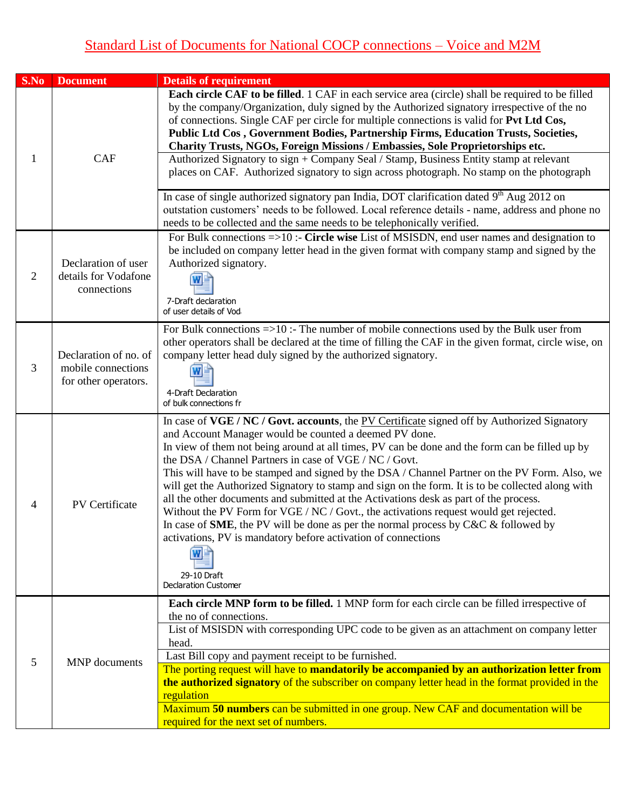## Standard List of Documents for National COCP connections – Voice and M2M

| S.No           | <b>Document</b>                                                     | <b>Details of requirement</b>                                                                                                                                                                                                                                                                                                                                                                                                                                                                                                                                                                                                                                                                                                                                                                                                                                                                                                    |
|----------------|---------------------------------------------------------------------|----------------------------------------------------------------------------------------------------------------------------------------------------------------------------------------------------------------------------------------------------------------------------------------------------------------------------------------------------------------------------------------------------------------------------------------------------------------------------------------------------------------------------------------------------------------------------------------------------------------------------------------------------------------------------------------------------------------------------------------------------------------------------------------------------------------------------------------------------------------------------------------------------------------------------------|
| 1              | <b>CAF</b>                                                          | <b>Each circle CAF to be filled.</b> 1 CAF in each service area (circle) shall be required to be filled<br>by the company/Organization, duly signed by the Authorized signatory irrespective of the no<br>of connections. Single CAF per circle for multiple connections is valid for Pvt Ltd Cos,<br>Public Ltd Cos, Government Bodies, Partnership Firms, Education Trusts, Societies,<br>Charity Trusts, NGOs, Foreign Missions / Embassies, Sole Proprietorships etc.<br>Authorized Signatory to sign + Company Seal / Stamp, Business Entity stamp at relevant<br>places on CAF. Authorized signatory to sign across photograph. No stamp on the photograph<br>In case of single authorized signatory pan India, DOT clarification dated $9^{th}$ Aug 2012 on<br>outstation customers' needs to be followed. Local reference details - name, address and phone no                                                           |
| $\overline{2}$ | Declaration of user<br>details for Vodafone<br>connections          | needs to be collected and the same needs to be telephonically verified.<br>For Bulk connections $\equiv$ >10 :- Circle wise List of MSISDN, end user names and designation to<br>be included on company letter head in the given format with company stamp and signed by the<br>Authorized signatory.<br>7-Draft declaration                                                                                                                                                                                                                                                                                                                                                                                                                                                                                                                                                                                                     |
|                |                                                                     | of user details of Vod                                                                                                                                                                                                                                                                                                                                                                                                                                                                                                                                                                                                                                                                                                                                                                                                                                                                                                           |
| 3              | Declaration of no. of<br>mobile connections<br>for other operators. | For Bulk connections $\Rightarrow$ 10 :- The number of mobile connections used by the Bulk user from<br>other operators shall be declared at the time of filling the CAF in the given format, circle wise, on<br>company letter head duly signed by the authorized signatory.<br>4-Draft Declaration<br>of bulk connections fr                                                                                                                                                                                                                                                                                                                                                                                                                                                                                                                                                                                                   |
| 4              | PV Certificate                                                      | In case of VGE / NC / Govt. accounts, the PV Certificate signed off by Authorized Signatory<br>and Account Manager would be counted a deemed PV done.<br>In view of them not being around at all times, PV can be done and the form can be filled up by<br>the DSA / Channel Partners in case of VGE / NC / Govt.<br>This will have to be stamped and signed by the DSA / Channel Partner on the PV Form. Also, we<br>will get the Authorized Signatory to stamp and sign on the form. It is to be collected along with<br>all the other documents and submitted at the Activations desk as part of the process.<br>Without the PV Form for VGE / NC / Govt., the activations request would get rejected.<br>In case of <b>SME</b> , the PV will be done as per the normal process by $C\&C\&C$ followed by<br>activations, PV is mandatory before activation of connections<br>WE<br>29-10 Draft<br><b>Declaration Customer</b> |
| 5              | MNP documents                                                       | <b>Each circle MNP form to be filled.</b> 1 MNP form for each circle can be filled irrespective of<br>the no of connections.<br>List of MSISDN with corresponding UPC code to be given as an attachment on company letter<br>head.<br>Last Bill copy and payment receipt to be furnished.<br>The porting request will have to mandatorily be accompanied by an authorization letter from<br>the authorized signatory of the subscriber on company letter head in the format provided in the<br>regulation<br>Maximum 50 numbers can be submitted in one group. New CAF and documentation will be<br>required for the next set of numbers.                                                                                                                                                                                                                                                                                        |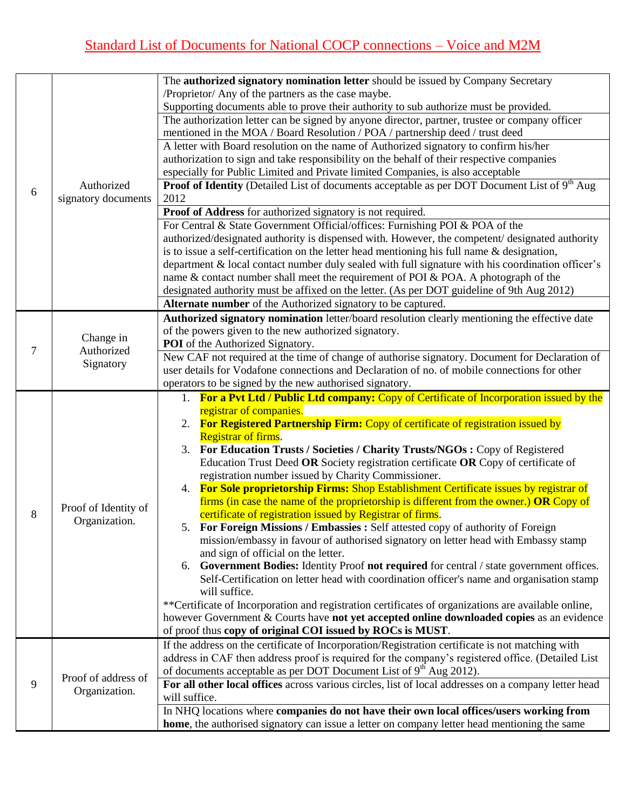|   |                                                                                                  | The authorized signatory nomination letter should be issued by Company Secretary                                                              |
|---|--------------------------------------------------------------------------------------------------|-----------------------------------------------------------------------------------------------------------------------------------------------|
|   |                                                                                                  | /Proprietor/ Any of the partners as the case maybe.                                                                                           |
|   |                                                                                                  | Supporting documents able to prove their authority to sub authorize must be provided.                                                         |
|   |                                                                                                  | The authorization letter can be signed by anyone director, partner, trustee or company officer                                                |
|   |                                                                                                  | mentioned in the MOA / Board Resolution / POA / partnership deed / trust deed                                                                 |
|   |                                                                                                  | A letter with Board resolution on the name of Authorized signatory to confirm his/her                                                         |
|   |                                                                                                  | authorization to sign and take responsibility on the behalf of their respective companies                                                     |
|   |                                                                                                  | especially for Public Limited and Private limited Companies, is also acceptable                                                               |
|   | Authorized                                                                                       | <b>Proof of Identity</b> (Detailed List of documents acceptable as per DOT Document List of $9th$ Aug                                         |
| 6 | signatory documents                                                                              | 2012                                                                                                                                          |
|   |                                                                                                  | Proof of Address for authorized signatory is not required.                                                                                    |
|   |                                                                                                  | For Central & State Government Official/offices: Furnishing POI & POA of the                                                                  |
|   |                                                                                                  | authorized/designated authority is dispensed with. However, the competent/designated authority                                                |
|   |                                                                                                  | is to issue a self-certification on the letter head mentioning his full name $\&$ designation,                                                |
|   |                                                                                                  | department & local contact number duly sealed with full signature with his coordination officer's                                             |
|   |                                                                                                  | name & contact number shall meet the requirement of POI & POA. A photograph of the                                                            |
|   |                                                                                                  | designated authority must be affixed on the letter. (As per DOT guideline of 9th Aug 2012)                                                    |
|   |                                                                                                  | Alternate number of the Authorized signatory to be captured.                                                                                  |
|   |                                                                                                  | Authorized signatory nomination letter/board resolution clearly mentioning the effective date                                                 |
|   | Change in                                                                                        | of the powers given to the new authorized signatory.                                                                                          |
| 7 | Authorized                                                                                       | <b>POI</b> of the Authorized Signatory.                                                                                                       |
|   | Signatory                                                                                        | New CAF not required at the time of change of authorise signatory. Document for Declaration of                                                |
|   |                                                                                                  | user details for Vodafone connections and Declaration of no. of mobile connections for other                                                  |
|   |                                                                                                  | operators to be signed by the new authorised signatory.                                                                                       |
|   |                                                                                                  | 1. For a Pvt Ltd / Public Ltd company: Copy of Certificate of Incorporation issued by the                                                     |
|   |                                                                                                  | registrar of companies.                                                                                                                       |
|   |                                                                                                  | 2. For Registered Partnership Firm: Copy of certificate of registration issued by                                                             |
|   |                                                                                                  | <b>Registrar of firms.</b>                                                                                                                    |
|   |                                                                                                  | 3. For Education Trusts / Societies / Charity Trusts/NGOs : Copy of Registered                                                                |
|   |                                                                                                  | Education Trust Deed OR Society registration certificate OR Copy of certificate of                                                            |
|   |                                                                                                  | registration number issued by Charity Commissioner.                                                                                           |
|   |                                                                                                  | 4. For Sole proprietorship Firms: Shop Establishment Certificate issues by registrar of                                                       |
|   | Proof of Identity of                                                                             | firms (in case the name of the proprietorship is different from the owner.) OR Copy of                                                        |
| 8 | Organization.                                                                                    | certificate of registration issued by Registrar of firms.<br>5. For Foreign Missions / Embassies : Self attested copy of authority of Foreign |
|   |                                                                                                  | mission/embassy in favour of authorised signatory on letter head with Embassy stamp                                                           |
|   |                                                                                                  | and sign of official on the letter.                                                                                                           |
|   |                                                                                                  | 6. Government Bodies: Identity Proof not required for central / state government offices.                                                     |
|   |                                                                                                  | Self-Certification on letter head with coordination officer's name and organisation stamp                                                     |
|   |                                                                                                  | will suffice.                                                                                                                                 |
|   |                                                                                                  | **Certificate of Incorporation and registration certificates of organizations are available online,                                           |
|   |                                                                                                  | however Government & Courts have not yet accepted online downloaded copies as an evidence                                                     |
|   |                                                                                                  | of proof thus copy of original COI issued by ROCs is MUST.                                                                                    |
|   | If the address on the certificate of Incorporation/Registration certificate is not matching with |                                                                                                                                               |
|   |                                                                                                  | address in CAF then address proof is required for the company's registered office. (Detailed List                                             |
|   |                                                                                                  | of documents acceptable as per DOT Document List of 9 <sup>th</sup> Aug 2012).                                                                |
| 9 | Proof of address of                                                                              | For all other local offices across various circles, list of local addresses on a company letter head                                          |
|   | Organization.                                                                                    | will suffice.                                                                                                                                 |
|   |                                                                                                  | In NHQ locations where companies do not have their own local offices/users working from                                                       |
|   |                                                                                                  | home, the authorised signatory can issue a letter on company letter head mentioning the same                                                  |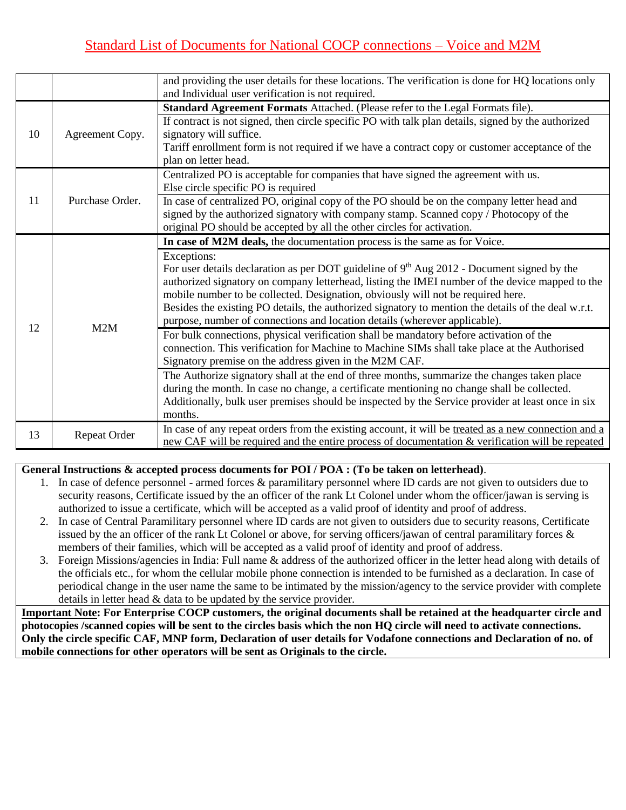|    |                     | and providing the user details for these locations. The verification is done for HQ locations only   |
|----|---------------------|------------------------------------------------------------------------------------------------------|
|    |                     | and Individual user verification is not required.                                                    |
|    |                     | Standard Agreement Formats Attached. (Please refer to the Legal Formats file).                       |
|    |                     | If contract is not signed, then circle specific PO with talk plan details, signed by the authorized  |
| 10 | Agreement Copy.     | signatory will suffice.                                                                              |
|    |                     | Tariff enrollment form is not required if we have a contract copy or customer acceptance of the      |
|    |                     | plan on letter head.                                                                                 |
|    |                     | Centralized PO is acceptable for companies that have signed the agreement with us.                   |
|    |                     | Else circle specific PO is required                                                                  |
| 11 | Purchase Order.     | In case of centralized PO, original copy of the PO should be on the company letter head and          |
|    |                     | signed by the authorized signatory with company stamp. Scanned copy / Photocopy of the               |
|    |                     | original PO should be accepted by all the other circles for activation.                              |
|    |                     | In case of M2M deals, the documentation process is the same as for Voice.                            |
|    |                     | Exceptions:                                                                                          |
|    |                     | For user details declaration as per DOT guideline of $9th$ Aug 2012 - Document signed by the         |
|    |                     | authorized signatory on company letterhead, listing the IMEI number of the device mapped to the      |
|    |                     | mobile number to be collected. Designation, obviously will not be required here.                     |
|    | 12<br>M2M           | Besides the existing PO details, the authorized signatory to mention the details of the deal w.r.t.  |
|    |                     | purpose, number of connections and location details (wherever applicable).                           |
|    |                     | For bulk connections, physical verification shall be mandatory before activation of the              |
|    |                     | connection. This verification for Machine to Machine SIMs shall take place at the Authorised         |
|    |                     | Signatory premise on the address given in the M2M CAF.                                               |
|    |                     | The Authorize signatory shall at the end of three months, summarize the changes taken place          |
|    |                     | during the month. In case no change, a certificate mentioning no change shall be collected.          |
|    |                     | Additionally, bulk user premises should be inspected by the Service provider at least once in six    |
|    |                     | months.                                                                                              |
|    |                     | In case of any repeat orders from the existing account, it will be treated as a new connection and a |
| 13 | <b>Repeat Order</b> | new CAF will be required and the entire process of documentation & verification will be repeated     |
|    |                     |                                                                                                      |

## **General Instructions & accepted process documents for POI / POA : (To be taken on letterhead)**.

- 1. In case of defence personnel armed forces & paramilitary personnel where ID cards are not given to outsiders due to security reasons, Certificate issued by the an officer of the rank Lt Colonel under whom the officer/jawan is serving is authorized to issue a certificate, which will be accepted as a valid proof of identity and proof of address.
- 2. In case of Central Paramilitary personnel where ID cards are not given to outsiders due to security reasons, Certificate issued by the an officer of the rank Lt Colonel or above, for serving officers/jawan of central paramilitary forces & members of their families, which will be accepted as a valid proof of identity and proof of address.
- 3. Foreign Missions/agencies in India: Full name & address of the authorized officer in the letter head along with details of the officials etc., for whom the cellular mobile phone connection is intended to be furnished as a declaration. In case of periodical change in the user name the same to be intimated by the mission/agency to the service provider with complete details in letter head & data to be updated by the service provider.

**Important Note: For Enterprise COCP customers, the original documents shall be retained at the headquarter circle and photocopies /scanned copies will be sent to the circles basis which the non HQ circle will need to activate connections. Only the circle specific CAF, MNP form, Declaration of user details for Vodafone connections and Declaration of no. of mobile connections for other operators will be sent as Originals to the circle.**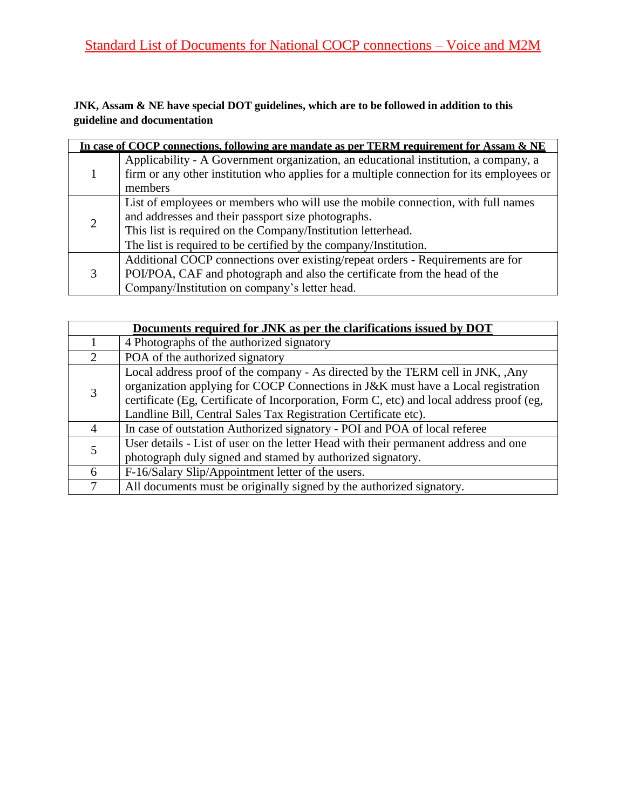## **JNK, Assam & NE have special DOT guidelines, which are to be followed in addition to this guideline and documentation**

|                             | In case of COCP connections, following are mandate as per TERM requirement for Assam & NE |
|-----------------------------|-------------------------------------------------------------------------------------------|
|                             | Applicability - A Government organization, an educational institution, a company, a       |
|                             | firm or any other institution who applies for a multiple connection for its employees or  |
|                             | members                                                                                   |
|                             | List of employees or members who will use the mobile connection, with full names          |
| $\mathcal{D}_{\mathcal{L}}$ | and addresses and their passport size photographs.                                        |
|                             | This list is required on the Company/Institution letterhead.                              |
|                             | The list is required to be certified by the company/Institution.                          |
|                             | Additional COCP connections over existing/repeat orders - Requirements are for            |
|                             | POI/POA, CAF and photograph and also the certificate from the head of the                 |
|                             | Company/Institution on company's letter head.                                             |

|                             | Documents required for JNK as per the clarifications issued by DOT                       |
|-----------------------------|------------------------------------------------------------------------------------------|
|                             | 4 Photographs of the authorized signatory                                                |
| $\mathcal{D}_{\mathcal{L}}$ | POA of the authorized signatory                                                          |
|                             | Local address proof of the company - As directed by the TERM cell in JNK, , Any          |
|                             | organization applying for COCP Connections in J&K must have a Local registration         |
|                             | certificate (Eg, Certificate of Incorporation, Form C, etc) and local address proof (eg, |
|                             | Landline Bill, Central Sales Tax Registration Certificate etc).                          |
| 4                           | In case of outstation Authorized signatory - POI and POA of local referee                |
|                             | User details - List of user on the letter Head with their permanent address and one      |
|                             | photograph duly signed and stamed by authorized signatory.                               |
| 6                           | F-16/Salary Slip/Appointment letter of the users.                                        |
|                             | All documents must be originally signed by the authorized signatory.                     |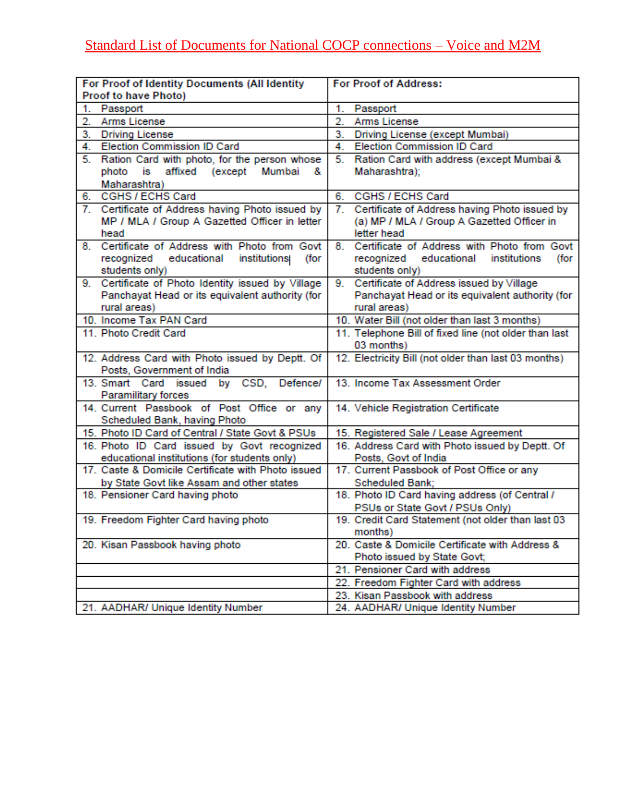| For Proof of Identity Documents (All Identity                                                      | <b>For Proof of Address:</b>                                                                                                                                                     |
|----------------------------------------------------------------------------------------------------|----------------------------------------------------------------------------------------------------------------------------------------------------------------------------------|
| <b>Proof to have Photo)</b>                                                                        |                                                                                                                                                                                  |
| Passport<br>1.                                                                                     | 1.<br>Passport                                                                                                                                                                   |
| Arms License<br>2.                                                                                 | Arms License<br>2.                                                                                                                                                               |
| <b>Driving License</b><br>3.                                                                       | 3.<br>Driving License (except Mumbai)                                                                                                                                            |
| Election Commission ID Card<br>4.                                                                  | <b>Election Commission ID Card</b><br>4.                                                                                                                                         |
| Ration Card with photo, for the person whose<br>5.                                                 | 5.<br>Ration Card with address (except Mumbai &                                                                                                                                  |
| photo is affixed (except<br>Mumbai<br>&                                                            | Maharashtra);                                                                                                                                                                    |
| Maharashtra)                                                                                       |                                                                                                                                                                                  |
| CGHS / ECHS Card<br>6.                                                                             | CGHS / ECHS Card<br>6.                                                                                                                                                           |
| 7. Certificate of Address having Photo issued by                                                   | Certificate of Address having Photo issued by<br>7.                                                                                                                              |
| MP / MLA / Group A Gazetted Officer in letter                                                      | (a) MP / MLA / Group A Gazetted Officer in                                                                                                                                       |
| head                                                                                               | letter head                                                                                                                                                                      |
| 8. Certificate of Address with Photo from Govt                                                     | 8. Certificate of Address with Photo from Govt                                                                                                                                   |
| recognized educational<br>(for<br>institutions                                                     | recognized educational<br>institutions<br>(for                                                                                                                                   |
| students only)                                                                                     | students only)                                                                                                                                                                   |
| 9. Certificate of Photo Identity issued by Village                                                 | 9. Certificate of Address issued by Village                                                                                                                                      |
| Panchayat Head or its equivalent authority (for                                                    | Panchayat Head or its equivalent authority (for                                                                                                                                  |
| rural areas)                                                                                       | rural areas)                                                                                                                                                                     |
| 10. Income Tax PAN Card                                                                            | 10. Water Bill (not older than last 3 months)                                                                                                                                    |
| 11. Photo Credit Card                                                                              | 11. Telephone Bill of fixed line (not older than last                                                                                                                            |
|                                                                                                    | 03 months)                                                                                                                                                                       |
| 12. Address Card with Photo issued by Deptt. Of                                                    | 12. Electricity Bill (not older than last 03 months)                                                                                                                             |
| Posts, Government of India                                                                         |                                                                                                                                                                                  |
| 13. Smart Card issued<br>by CSD,<br>Defence/                                                       | 13. Income Tax Assessment Order                                                                                                                                                  |
| Paramilitary forces                                                                                |                                                                                                                                                                                  |
| 14. Current Passbook of Post Office or any                                                         | 14. Vehicle Registration Certificate                                                                                                                                             |
| Scheduled Bank, having Photo                                                                       |                                                                                                                                                                                  |
| 15. Photo ID Card of Central / State Govt & PSUs                                                   | 15. Registered Sale / Lease Agreement                                                                                                                                            |
| 16. Photo ID Card issued by Govt recognized                                                        | 16. Address Card with Photo issued by Deptt. Of                                                                                                                                  |
| educational institutions (for students only)<br>17. Caste & Domicile Certificate with Photo issued | Posts, Govt of India<br>17. Current Passbook of Post Office or any                                                                                                               |
|                                                                                                    |                                                                                                                                                                                  |
| by State Govt like Assam and other states<br>18. Pensioner Card having photo                       | Scheduled Bank;<br>18. Photo ID Card having address (of Central /                                                                                                                |
|                                                                                                    | PSUs or State Govt / PSUs Only)                                                                                                                                                  |
| 19. Freedom Fighter Card having photo                                                              | 19. Credit Card Statement (not older than last 03                                                                                                                                |
|                                                                                                    | months)                                                                                                                                                                          |
| 20. Kisan Passbook having photo                                                                    | 20. Caste & Domicile Certificate with Address &                                                                                                                                  |
|                                                                                                    |                                                                                                                                                                                  |
|                                                                                                    |                                                                                                                                                                                  |
|                                                                                                    |                                                                                                                                                                                  |
|                                                                                                    |                                                                                                                                                                                  |
|                                                                                                    |                                                                                                                                                                                  |
| 21. AADHAR/ Unique Identity Number                                                                 | Photo issued by State Govt;<br>21. Pensioner Card with address<br>22. Freedom Fighter Card with address<br>23. Kisan Passbook with address<br>24. AADHAR/ Unique Identity Number |